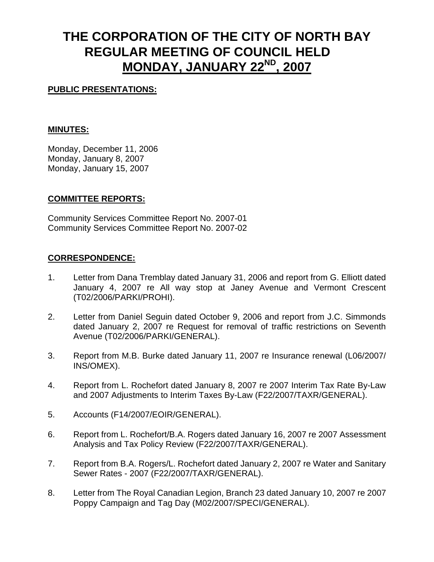# **THE CORPORATION OF THE CITY OF NORTH BAY REGULAR MEETING OF COUNCIL HELD MONDAY, JANUARY 22ND, 2007**

### **PUBLIC PRESENTATIONS:**

#### **MINUTES:**

Monday, December 11, 2006 Monday, January 8, 2007 Monday, January 15, 2007

#### **COMMITTEE REPORTS:**

Community Services Committee Report No. 2007-01 Community Services Committee Report No. 2007-02

#### **CORRESPONDENCE:**

- 1. Letter from Dana Tremblay dated January 31, 2006 and report from G. Elliott dated January 4, 2007 re All way stop at Janey Avenue and Vermont Crescent (T02/2006/PARKI/PROHI).
- 2. Letter from Daniel Seguin dated October 9, 2006 and report from J.C. Simmonds dated January 2, 2007 re Request for removal of traffic restrictions on Seventh Avenue (T02/2006/PARKI/GENERAL).
- 3. Report from M.B. Burke dated January 11, 2007 re Insurance renewal (L06/2007/ INS/OMEX).
- 4. Report from L. Rochefort dated January 8, 2007 re 2007 Interim Tax Rate By-Law and 2007 Adjustments to Interim Taxes By-Law (F22/2007/TAXR/GENERAL).
- 5. Accounts (F14/2007/EOIR/GENERAL).
- 6. Report from L. Rochefort/B.A. Rogers dated January 16, 2007 re 2007 Assessment Analysis and Tax Policy Review (F22/2007/TAXR/GENERAL).
- 7. Report from B.A. Rogers/L. Rochefort dated January 2, 2007 re Water and Sanitary Sewer Rates - 2007 (F22/2007/TAXR/GENERAL).
- 8. Letter from The Royal Canadian Legion, Branch 23 dated January 10, 2007 re 2007 Poppy Campaign and Tag Day (M02/2007/SPECI/GENERAL).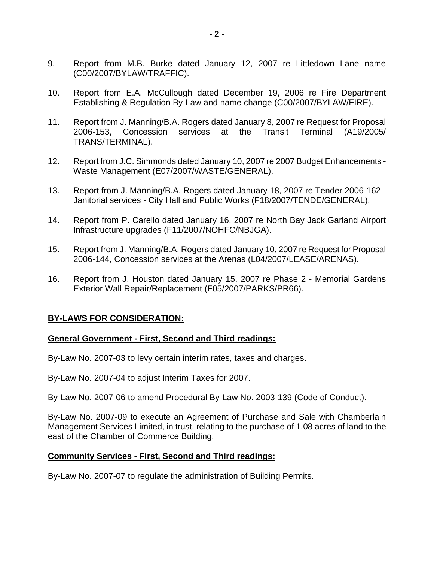- 9. Report from M.B. Burke dated January 12, 2007 re Littledown Lane name (C00/2007/BYLAW/TRAFFIC).
- 10. Report from E.A. McCullough dated December 19, 2006 re Fire Department Establishing & Regulation By-Law and name change (C00/2007/BYLAW/FIRE).
- 11. Report from J. Manning/B.A. Rogers dated January 8, 2007 re Request for Proposal 2006-153, Concession services at the Transit Terminal (A19/2005/ TRANS/TERMINAL).
- 12. Report from J.C. Simmonds dated January 10, 2007 re 2007 Budget Enhancements Waste Management (E07/2007/WASTE/GENERAL).
- 13. Report from J. Manning/B.A. Rogers dated January 18, 2007 re Tender 2006-162 Janitorial services - City Hall and Public Works (F18/2007/TENDE/GENERAL).
- 14. Report from P. Carello dated January 16, 2007 re North Bay Jack Garland Airport Infrastructure upgrades (F11/2007/NOHFC/NBJGA).
- 15. Report from J. Manning/B.A. Rogers dated January 10, 2007 re Request for Proposal 2006-144, Concession services at the Arenas (L04/2007/LEASE/ARENAS).
- 16. Report from J. Houston dated January 15, 2007 re Phase 2 Memorial Gardens Exterior Wall Repair/Replacement (F05/2007/PARKS/PR66).

#### **BY-LAWS FOR CONSIDERATION:**

#### **General Government - First, Second and Third readings:**

By-Law No. 2007-03 to levy certain interim rates, taxes and charges.

By-Law No. 2007-04 to adjust Interim Taxes for 2007.

By-Law No. 2007-06 to amend Procedural By-Law No. 2003-139 (Code of Conduct).

By-Law No. 2007-09 to execute an Agreement of Purchase and Sale with Chamberlain Management Services Limited, in trust, relating to the purchase of 1.08 acres of land to the east of the Chamber of Commerce Building.

#### **Community Services - First, Second and Third readings:**

By-Law No. 2007-07 to regulate the administration of Building Permits.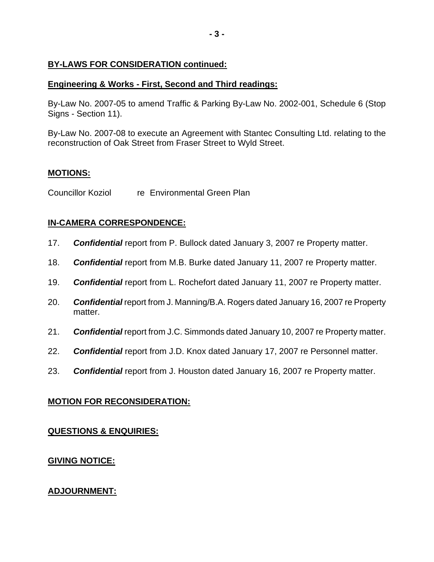#### **BY-LAWS FOR CONSIDERATION continued:**

#### **Engineering & Works - First, Second and Third readings:**

By-Law No. 2007-05 to amend Traffic & Parking By-Law No. 2002-001, Schedule 6 (Stop Signs - Section 11).

By-Law No. 2007-08 to execute an Agreement with Stantec Consulting Ltd. relating to the reconstruction of Oak Street from Fraser Street to Wyld Street.

#### **MOTIONS:**

Councillor Koziol re Environmental Green Plan

# **IN-CAMERA CORRESPONDENCE:**

- 17. *Confidential* report from P. Bullock dated January 3, 2007 re Property matter.
- 18. *Confidential* report from M.B. Burke dated January 11, 2007 re Property matter.
- 19. *Confidential* report from L. Rochefort dated January 11, 2007 re Property matter.
- 20. *Confidential* report from J. Manning/B.A. Rogers dated January 16, 2007 re Property matter.
- 21. *Confidential* report from J.C. Simmonds dated January 10, 2007 re Property matter.
- 22. *Confidential* report from J.D. Knox dated January 17, 2007 re Personnel matter.
- 23. *Confidential* report from J. Houston dated January 16, 2007 re Property matter.

# **MOTION FOR RECONSIDERATION:**

# **QUESTIONS & ENQUIRIES:**

# **GIVING NOTICE:**

# **ADJOURNMENT:**